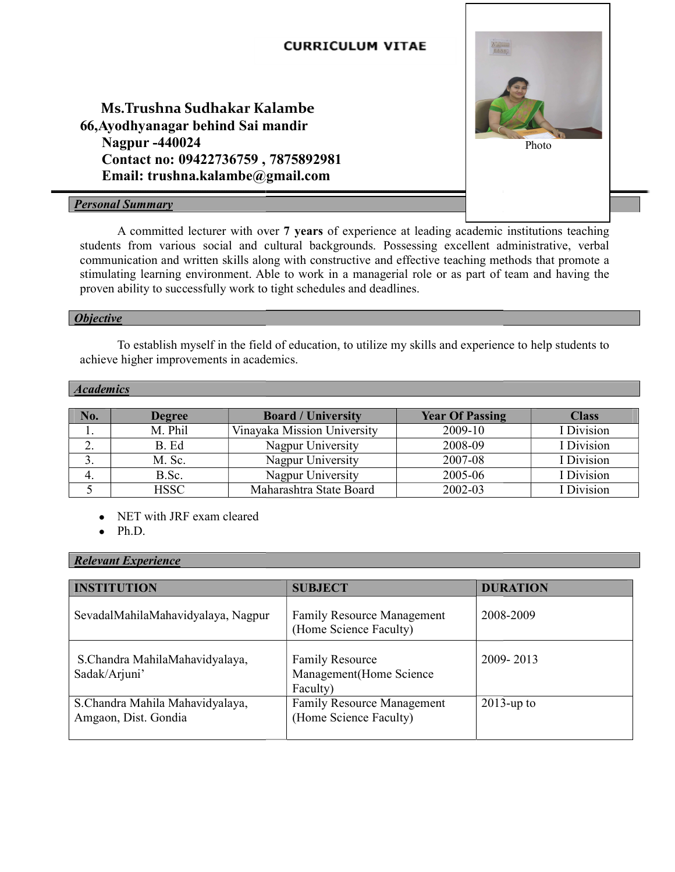

A committed lecturer with over 7 years of experience at leading academic institutions teaching students from various social and cultural backgrounds. Possessing excellent administrative, verbal communication and written skills along with constructive and effective teaching methods that promote a stimulating learning environment. Able to work in a managerial role or as part of team and having the proven ability to successfully work to tight schedules and deadlines.

## **Objective**

 To establish myself in the field of education, to utilize my skills and experience to help students to achieve higher improvements in academics. learning environment. Able to work in a managerial role or as part of team<br>ty to successfully work to tight schedules and deadlines.<br>stablish myself in the field of education, to utilize my skills and experience to<br>her imp

## **Academics**

| No. | <b>Degree</b> | <b>Board / University</b>   | <b>Year Of Passing</b> | <b>Class</b>          |
|-----|---------------|-----------------------------|------------------------|-----------------------|
|     | M. Phil       | Vinavaka Mission University | 2009-10                | <sup>I</sup> Division |
| ۷.  | B. Ed         | Nagpur University           | 2008-09                | Division              |
|     | M. Sc.        | Nagpur University           | 2007-08                | <sup>t</sup> Division |
|     | B.Sc.         | Nagpur University           | 2005-06                | Division              |
|     | <b>HSSC</b>   | Maharashtra State Board     | 2002-03                | Division              |

• NET with JRF exam cleared

 $\bullet$  Ph.D.

# Relevant Experience

| <b>INSTITUTION</b>                                      | <b>SUBJECT</b>                                                 | <b>DURATION</b> |
|---------------------------------------------------------|----------------------------------------------------------------|-----------------|
| SevadalMahilaMahavidyalaya, Nagpur                      | <b>Family Resource Management</b><br>(Home Science Faculty)    | 2008-2009       |
| S.Chandra MahilaMahavidyalaya,<br>Sadak/Arjuni'         | <b>Family Resource</b><br>Management (Home Science<br>Faculty) | 2009-2013       |
| S.Chandra Mahila Mahavidyalaya,<br>Amgaon, Dist. Gondia | <b>Family Resource Management</b><br>(Home Science Faculty)    | $2013$ -up to   |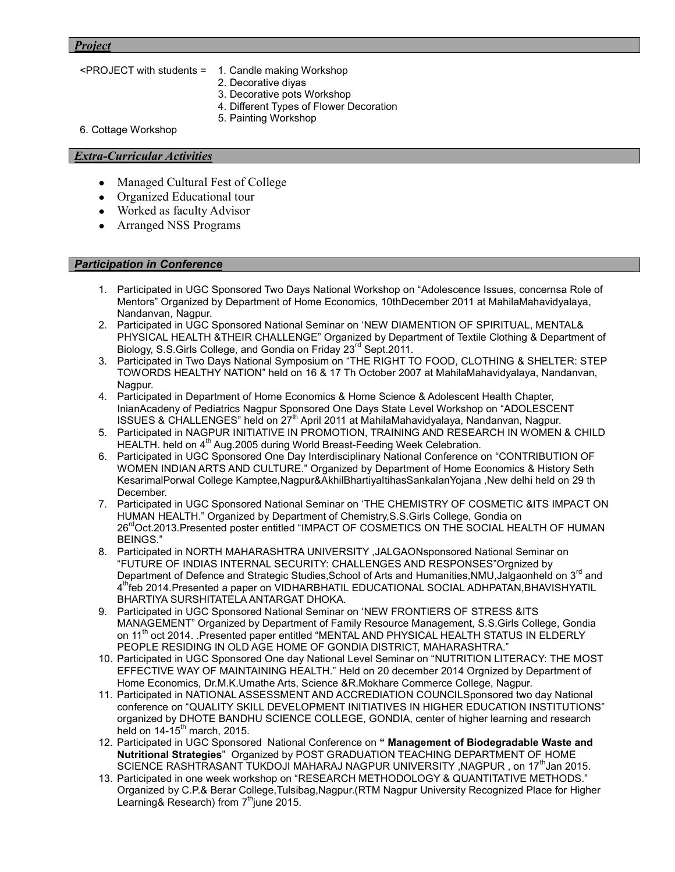### Project

- <PROJECT with students = 1. Candle making Workshop
	- 2. Decorative diyas
	- 3. Decorative pots Workshop
	- 4. Different Types of Flower Decoration
	- 5. Painting Workshop

6. Cottage Workshop

## Extra-Curricular Activities

- Managed Cultural Fest of College
- Organized Educational tour
- Worked as faculty Advisor
- Arranged NSS Programs

## Participation in Conference

- 1. Participated in UGC Sponsored Two Days National Workshop on "Adolescence Issues, concernsa Role of Mentors" Organized by Department of Home Economics, 10thDecember 2011 at MahilaMahavidyalaya, Nandanvan, Nagpur.
- 2. Participated in UGC Sponsored National Seminar on 'NEW DIAMENTION OF SPIRITUAL, MENTAL& PHYSICAL HEALTH &THEIR CHALLENGE" Organized by Department of Textile Clothing & Department of Biology, S.S.Girls College, and Gondia on Friday 23<sup>rd</sup> Sept.2011.
- 3. Participated in Two Days National Symposium on "THE RIGHT TO FOOD, CLOTHING & SHELTER: STEP TOWORDS HEALTHY NATION" held on 16 & 17 Th October 2007 at MahilaMahavidyalaya, Nandanvan, Nagpur.
- 4. Participated in Department of Home Economics & Home Science & Adolescent Health Chapter, InianAcadeny of Pediatrics Nagpur Sponsored One Days State Level Workshop on "ADOLESCENT ISSUES & CHALLENGES" held on  $27<sup>th</sup>$  April 2011 at MahilaMahavidyalaya, Nandanvan, Nagpur.
- 5. Participated in NAGPUR INITIATIVE IN PROMOTION, TRAINING AND RESEARCH IN WOMEN & CHILD HEALTH. held on 4<sup>th</sup> Aug.2005 during World Breast-Feeding Week Celebration.
- 6. Participated in UGC Sponsored One Day Interdisciplinary National Conference on "CONTRIBUTION OF WOMEN INDIAN ARTS AND CULTURE." Organized by Department of Home Economics & History Seth KesarimalPorwal College Kamptee,Nagpur&AkhilBhartiyaItihasSankalanYojana ,New delhi held on 29 th December.
- 7. Participated in UGC Sponsored National Seminar on 'THE CHEMISTRY OF COSMETIC &ITS IMPACT ON HUMAN HEALTH." Organized by Department of Chemistry,S.S.Girls College, Gondia on 26<sup>rd</sup>Oct.2013.Presented poster entitled "IMPACT OF COSMETICS ON THE SOCIAL HEALTH OF HUMAN BEINGS."
- 8. Participated in NORTH MAHARASHTRA UNIVERSITY ,JALGAONsponsored National Seminar on "FUTURE OF INDIAS INTERNAL SECURITY: CHALLENGES AND RESPONSES"Orgnized by Department of Defence and Strategic Studies, School of Arts and Humanities, NMU, Jalgaonheld on 3<sup>rd</sup> and 4 thfeb 2014.Presented a paper on VIDHARBHATIL EDUCATIONAL SOCIAL ADHPATAN,BHAVISHYATIL BHARTIYA SURSHITATELA ANTARGAT DHOKA.
- 9. Participated in UGC Sponsored National Seminar on 'NEW FRONTIERS OF STRESS &ITS MANAGEMENT" Organized by Department of Family Resource Management, S.S.Girls College, Gondia on 11<sup>th</sup> oct 2014. .Presented paper entitled "MENTAL AND PHYSICAL HEALTH STATUS IN ELDERLY PEOPLE RESIDING IN OLD AGE HOME OF GONDIA DISTRICT, MAHARASHTRA."
- 10. Participated in UGC Sponsored One day National Level Seminar on "NUTRITION LITERACY: THE MOST EFFECTIVE WAY OF MAINTAINING HEALTH." Held on 20 december 2014 Orgnized by Department of Home Economics, Dr.M.K.Umathe Arts, Science &R.Mokhare Commerce College, Nagpur.
- 11. Participated in NATIONAL ASSESSMENT AND ACCREDIATION COUNCILSponsored two day National conference on "QUALITY SKILL DEVELOPMENT INITIATIVES IN HIGHER EDUCATION INSTITUTIONS" organized by DHOTE BANDHU SCIENCE COLLEGE, GONDIA, center of higher learning and research held on  $14-15^{th}$  march, 2015.
- 12. Participated in UGC Sponsored National Conference on " Management of Biodegradable Waste and Nutritional Strategies" Organized by POST GRADUATION TEACHING DEPARTMENT OF HOME SCIENCE RASHTRASANT TUKDOJI MAHARAJ NAGPUR UNIVERSITY, NAGPUR, on 17<sup>th</sup>Jan 2015.
- 13. Participated in one week workshop on "RESEARCH METHODOLOGY & QUANTITATIVE METHODS." Organized by C.P.& Berar College,Tulsibag,Nagpur.(RTM Nagpur University Recognized Place for Higher Learning & Research) from  $7<sup>th</sup>$  june 2015.